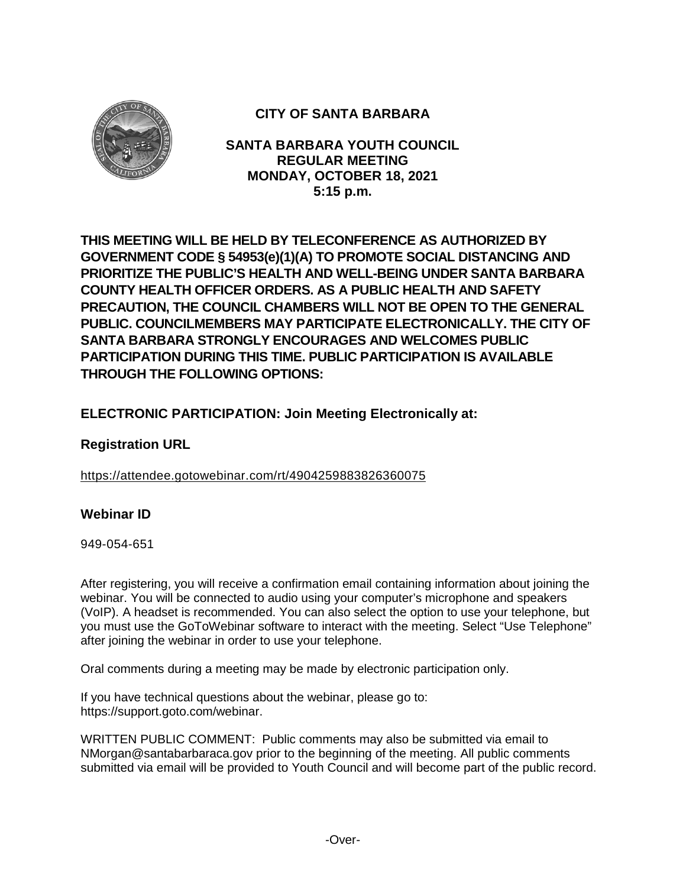

# **CITY OF SANTA BARBARA**

**SANTA BARBARA YOUTH COUNCIL REGULAR MEETING MONDAY, OCTOBER 18, 2021 5:15 p.m.**

**THIS MEETING WILL BE HELD BY TELECONFERENCE AS AUTHORIZED BY GOVERNMENT CODE § 54953(e)(1)(A) TO PROMOTE SOCIAL DISTANCING AND PRIORITIZE THE PUBLIC'S HEALTH AND WELL-BEING UNDER SANTA BARBARA COUNTY HEALTH OFFICER ORDERS. AS A PUBLIC HEALTH AND SAFETY PRECAUTION, THE COUNCIL CHAMBERS WILL NOT BE OPEN TO THE GENERAL PUBLIC. COUNCILMEMBERS MAY PARTICIPATE ELECTRONICALLY. THE CITY OF SANTA BARBARA STRONGLY ENCOURAGES AND WELCOMES PUBLIC PARTICIPATION DURING THIS TIME. PUBLIC PARTICIPATION IS AVAILABLE THROUGH THE FOLLOWING OPTIONS:**

# **ELECTRONIC PARTICIPATION: Join Meeting Electronically at:**

# **Registration URL**

<https://attendee.gotowebinar.com/rt/4904259883826360075>

# **Webinar ID**

949-054-651

After registering, you will receive a confirmation email containing information about joining the webinar. You will be connected to audio using your computer's microphone and speakers (VoIP). A headset is recommended. You can also select the option to use your telephone, but you must use the GoToWebinar software to interact with the meeting. Select "Use Telephone" after joining the webinar in order to use your telephone.

Oral comments during a meeting may be made by electronic participation only.

If you have technical questions about the webinar, please go to: https://support.goto.com/webinar.

WRITTEN PUBLIC COMMENT: Public comments may also be submitted via email to NMorgan@santabarbaraca.gov prior to the beginning of the meeting. All public comments submitted via email will be provided to Youth Council and will become part of the public record.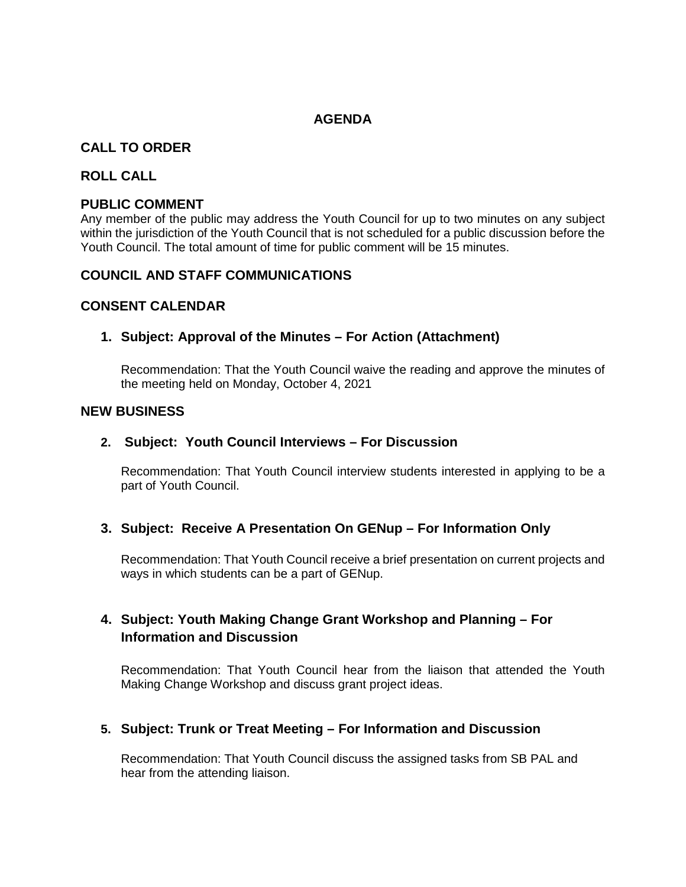### **AGENDA**

# **CALL TO ORDER**

### **ROLL CALL**

### **PUBLIC COMMENT**

Any member of the public may address the Youth Council for up to two minutes on any subject within the jurisdiction of the Youth Council that is not scheduled for a public discussion before the Youth Council. The total amount of time for public comment will be 15 minutes.

### **COUNCIL AND STAFF COMMUNICATIONS**

### **CONSENT CALENDAR**

### **1. Subject: Approval of the Minutes – For Action (Attachment)**

Recommendation: That the Youth Council waive the reading and approve the minutes of the meeting held on Monday, October 4, 2021

#### **NEW BUSINESS**

#### **2. Subject: Youth Council Interviews – For Discussion**

Recommendation: That Youth Council interview students interested in applying to be a part of Youth Council.

### **3. Subject: Receive A Presentation On GENup – For Information Only**

Recommendation: That Youth Council receive a brief presentation on current projects and ways in which students can be a part of GENup.

# **4. Subject: Youth Making Change Grant Workshop and Planning – For Information and Discussion**

Recommendation: That Youth Council hear from the liaison that attended the Youth Making Change Workshop and discuss grant project ideas.

### **5. Subject: Trunk or Treat Meeting – For Information and Discussion**

Recommendation: That Youth Council discuss the assigned tasks from SB PAL and hear from the attending liaison.